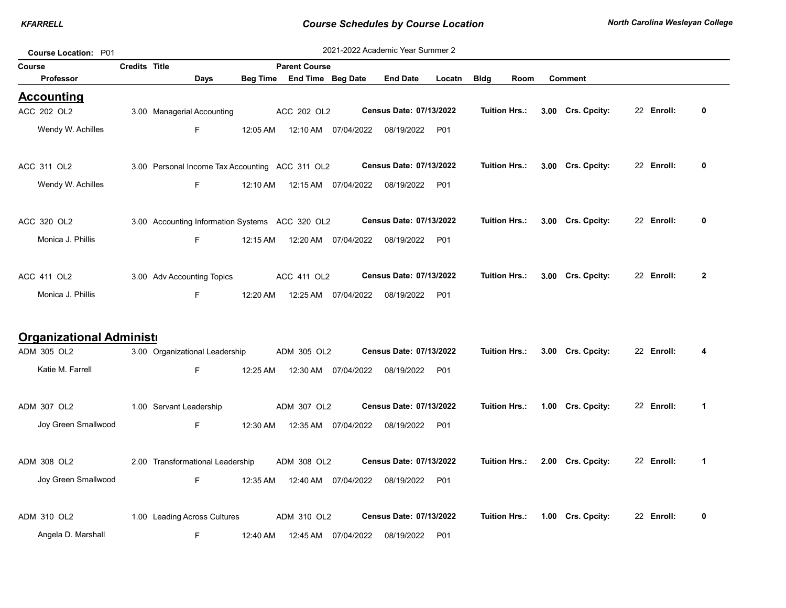| <b>Course Location: P01</b>     |                      |                                                 |          |                            |                      | 2021-2022 Academic Year Summer 2 |                 |                      |                   |            |              |
|---------------------------------|----------------------|-------------------------------------------------|----------|----------------------------|----------------------|----------------------------------|-----------------|----------------------|-------------------|------------|--------------|
| Course                          | <b>Credits Title</b> |                                                 |          | <b>Parent Course</b>       |                      |                                  |                 |                      |                   |            |              |
| <b>Professor</b>                |                      | Days                                            |          | Beg Time End Time Beg Date |                      | <b>End Date</b>                  | Locatn          | <b>Bldg</b><br>Room  | <b>Comment</b>    |            |              |
| <b>Accounting</b>               |                      |                                                 |          |                            |                      |                                  |                 |                      |                   |            |              |
| ACC 202 OL2                     |                      | 3.00 Managerial Accounting                      |          | ACC 202 OL2                |                      | Census Date: 07/13/2022          |                 | <b>Tuition Hrs.:</b> | 3.00 Crs. Cpcity: | 22 Enroll: | 0            |
| Wendy W. Achilles               |                      | F.                                              | 12:05 AM | 12:10 AM                   | 07/04/2022           | 08/19/2022                       | P01             |                      |                   |            |              |
| ACC 311 OL2                     |                      | 3.00 Personal Income Tax Accounting ACC 311 OL2 |          |                            |                      | Census Date: 07/13/2022          |                 | <b>Tuition Hrs.:</b> | 3.00 Crs. Cpcity: | 22 Enroll: | 0            |
| Wendy W. Achilles               |                      | F.                                              | 12:10 AM |                            | 12:15 AM  07/04/2022 | 08/19/2022                       | P01             |                      |                   |            |              |
| ACC 320 OL2                     |                      | 3.00 Accounting Information Systems ACC 320 OL2 |          |                            |                      | Census Date: 07/13/2022          |                 | <b>Tuition Hrs.:</b> | 3.00 Crs. Cpcity: | 22 Enroll: | 0            |
| Monica J. Phillis               |                      | F.                                              | 12:15 AM |                            | 12:20 AM  07/04/2022 | 08/19/2022                       | P <sub>01</sub> |                      |                   |            |              |
| ACC 411 OL2                     |                      | 3.00 Adv Accounting Topics                      |          | ACC 411 OL2                |                      | Census Date: 07/13/2022          |                 | <b>Tuition Hrs.:</b> | 3.00 Crs. Cpcity: | 22 Enroll: | $\mathbf{2}$ |
| Monica J. Phillis               |                      | F.                                              | 12:20 AM |                            | 12:25 AM 07/04/2022  | 08/19/2022                       | <b>P01</b>      |                      |                   |            |              |
| <b>Organizational Administi</b> |                      |                                                 |          |                            |                      |                                  |                 |                      |                   |            |              |
| ADM 305 OL2                     |                      | 3.00 Organizational Leadership                  |          | ADM 305 OL2                |                      | Census Date: 07/13/2022          |                 | Tuition Hrs.:        | 3.00 Crs. Cpcity: | 22 Enroll: | 4            |
| Katie M. Farrell                |                      | F.                                              | 12:25 AM |                            | 12:30 AM 07/04/2022  | 08/19/2022                       | P01             |                      |                   |            |              |
| ADM 307 OL2                     |                      | 1.00 Servant Leadership                         |          | ADM 307 OL2                |                      | Census Date: 07/13/2022          |                 | <b>Tuition Hrs.:</b> | 1.00 Crs. Cpcity: | 22 Enroll: | 1            |
| Joy Green Smallwood             |                      | F.                                              | 12:30 AM |                            | 12:35 AM 07/04/2022  | 08/19/2022                       | P01             |                      |                   |            |              |
| ADM 308 OL2                     |                      | 2.00 Transformational Leadership                |          | ADM 308 OL2                |                      | Census Date: 07/13/2022          |                 | <b>Tuition Hrs.:</b> | 2.00 Crs. Cpcity: | 22 Enroll: | 1            |
| Joy Green Smallwood             |                      | F.                                              | 12:35 AM | 12:40 AM                   | 07/04/2022           | 08/19/2022                       | P01             |                      |                   |            |              |
| ADM 310 OL2                     |                      | 1.00 Leading Across Cultures                    |          | ADM 310 OL2                |                      | Census Date: 07/13/2022          |                 | <b>Tuition Hrs.:</b> | 1.00 Crs. Cpcity: | 22 Enroll: | 0            |
| Angela D. Marshall              |                      | F                                               | 12:40 AM |                            | 12:45 AM 07/04/2022  | 08/19/2022                       | <b>P01</b>      |                      |                   |            |              |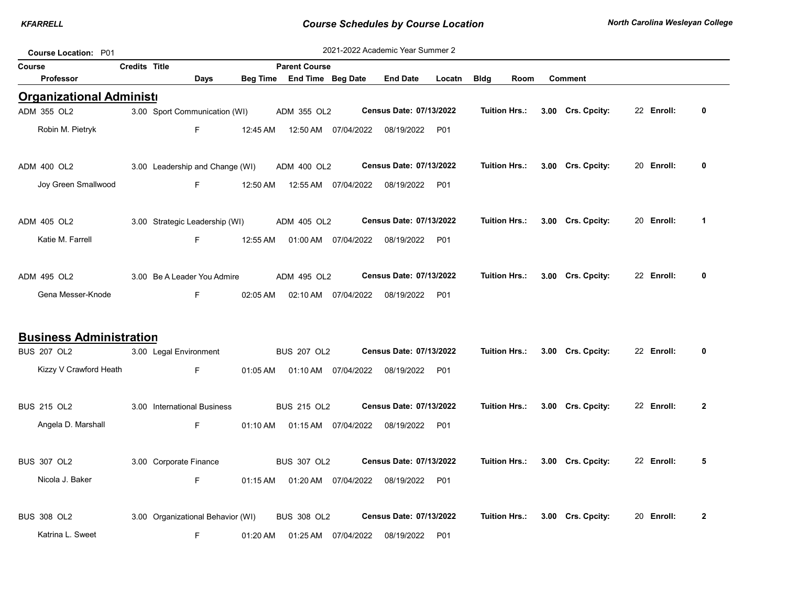| Course Location: P01            |                      |                                   |          |                                |                      | 2021-2022 Academic Year Summer 2 |        |                      |      |                   |            |                |
|---------------------------------|----------------------|-----------------------------------|----------|--------------------------------|----------------------|----------------------------------|--------|----------------------|------|-------------------|------------|----------------|
| Course                          | <b>Credits Title</b> |                                   |          | <b>Parent Course</b>           |                      |                                  |        |                      |      |                   |            |                |
| Professor                       |                      | Days                              |          | Beg Time End Time Beg Date     |                      | <b>End Date</b>                  | Locatn | <b>Bldg</b>          | Room | <b>Comment</b>    |            |                |
| <b>Organizational Administi</b> |                      |                                   |          |                                |                      |                                  |        |                      |      |                   |            |                |
| ADM 355 OL2                     |                      | 3.00 Sport Communication (WI)     |          | ADM 355 OL2                    |                      | Census Date: 07/13/2022          |        | <b>Tuition Hrs.:</b> |      | 3.00 Crs. Cpcity: | 22 Enroll: | 0              |
| Robin M. Pietryk                |                      | F.                                | 12:45 AM |                                | 12:50 AM 07/04/2022  | 08/19/2022                       | P01    |                      |      |                   |            |                |
| ADM 400 OL2                     |                      | 3.00 Leadership and Change (WI)   |          | ADM 400 OL2                    |                      | Census Date: 07/13/2022          |        | <b>Tuition Hrs.:</b> |      | 3.00 Crs. Cpcity: | 20 Enroll: | 0              |
| Joy Green Smallwood             |                      | F.                                | 12:50 AM |                                | 12:55 AM  07/04/2022 | 08/19/2022 P01                   |        |                      |      |                   |            |                |
| ADM 405 OL2                     |                      | 3.00 Strategic Leadership (WI)    |          | ADM 405 OL2                    |                      | Census Date: 07/13/2022          |        | <b>Tuition Hrs.:</b> |      | 3.00 Crs. Cpcity: | 20 Enroll: | 1              |
| Katie M. Farrell                |                      | F                                 | 12:55 AM |                                | 01:00 AM 07/04/2022  | 08/19/2022 P01                   |        |                      |      |                   |            |                |
| ADM 495 OL2                     |                      | 3.00 Be A Leader You Admire       |          | ADM 495 OL2                    |                      | Census Date: 07/13/2022          |        | <b>Tuition Hrs.:</b> |      | 3.00 Crs. Cpcity: | 22 Enroll: | 0              |
| Gena Messer-Knode               |                      | E                                 | 02:05 AM |                                | 02:10 AM 07/04/2022  | 08/19/2022 P01                   |        |                      |      |                   |            |                |
| <b>Business Administration</b>  |                      |                                   |          |                                |                      |                                  |        |                      |      |                   |            |                |
| <b>BUS 207 OL2</b>              |                      | 3.00 Legal Environment            |          | <b>BUS 207 OL2</b>             |                      | Census Date: 07/13/2022          |        | Tuition Hrs.:        |      | 3.00 Crs. Cpcity: | 22 Enroll: | 0              |
| Kizzy V Crawford Heath          |                      | F                                 | 01:05 AM |                                | 01:10 AM  07/04/2022 | 08/19/2022                       | P01    |                      |      |                   |            |                |
| <b>BUS 215 OL2</b>              |                      | 3.00 International Business       |          | <b>BUS 215 OL2</b>             |                      | Census Date: 07/13/2022          |        | <b>Tuition Hrs.:</b> |      | 3.00 Crs. Cpcity: | 22 Enroll: | $\overline{2}$ |
| Angela D. Marshall              |                      | E                                 |          | 01:10 AM  01:15 AM  07/04/2022 |                      | 08/19/2022                       | P01    |                      |      |                   |            |                |
| <b>BUS 307 OL2</b>              |                      | 3.00 Corporate Finance            |          | <b>BUS 307 OL2</b>             |                      | Census Date: 07/13/2022          |        | <b>Tuition Hrs.:</b> |      | 3.00 Crs. Cpcity: | 22 Enroll: | 5              |
| Nicola J. Baker                 |                      | F.                                | 01:15 AM |                                | 01:20 AM 07/04/2022  | 08/19/2022 P01                   |        |                      |      |                   |            |                |
| <b>BUS 308 OL2</b>              |                      | 3.00 Organizational Behavior (WI) |          | <b>BUS 308 OL2</b>             |                      | Census Date: 07/13/2022          |        | <b>Tuition Hrs.:</b> |      | 3.00 Crs. Cpcity: | 20 Enroll: | $\mathbf{2}$   |
| Katrina L. Sweet                |                      | F                                 | 01:20 AM |                                | 01:25 AM 07/04/2022  | 08/19/2022 P01                   |        |                      |      |                   |            |                |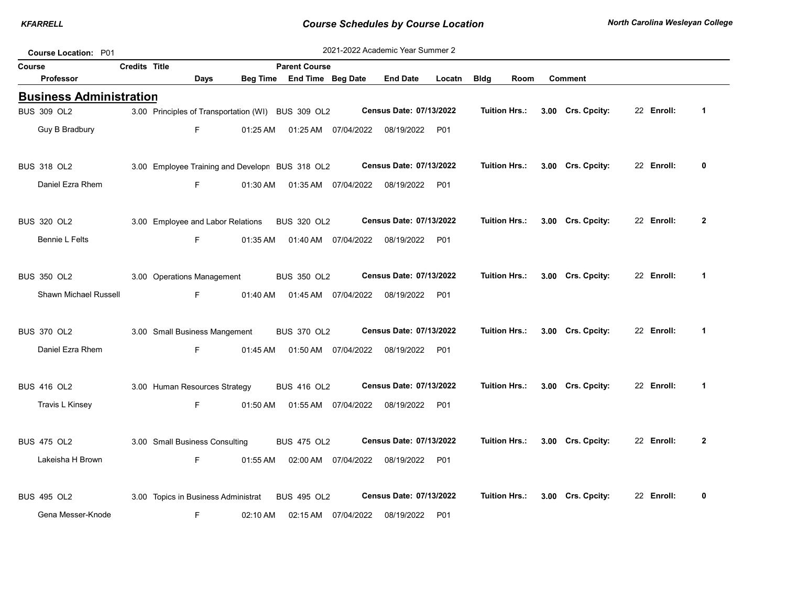| <b>Course Location: P01</b>    |                                     |      |          |                                                    |                     | 2021-2022 Academic Year Summer 2 |        |                      |               |                   |            |                |
|--------------------------------|-------------------------------------|------|----------|----------------------------------------------------|---------------------|----------------------------------|--------|----------------------|---------------|-------------------|------------|----------------|
| Course                         | Credits Title                       |      |          | <b>Parent Course</b>                               |                     |                                  |        |                      |               |                   |            |                |
| <b>Professor</b>               |                                     | Days |          | Beg Time End Time Beg Date                         |                     | <b>End Date</b>                  | Locatn | <b>Bldg</b>          | Room          | <b>Comment</b>    |            |                |
| <b>Business Administration</b> |                                     |      |          |                                                    |                     |                                  |        |                      |               |                   |            |                |
| <b>BUS 309 OL2</b>             |                                     |      |          | 3.00 Principles of Transportation (WI) BUS 309 OL2 |                     | Census Date: 07/13/2022          |        | <b>Tuition Hrs.:</b> |               | 3.00 Crs. Cpcity: | 22 Enroll: | $\mathbf 1$    |
| Guy B Bradbury                 |                                     | F.   | 01:25 AM |                                                    | 01:25 AM 07/04/2022 | 08/19/2022                       | P01    |                      |               |                   |            |                |
| <b>BUS 318 OL2</b>             |                                     |      |          | 3.00 Employee Training and Developn BUS 318 OL2    |                     | Census Date: 07/13/2022          |        | <b>Tuition Hrs.:</b> |               | 3.00 Crs. Cpcity: | 22 Enroll: | 0              |
| Daniel Ezra Rhem               |                                     | F    | 01:30 AM |                                                    | 01:35 AM 07/04/2022 | 08/19/2022                       | P01    |                      |               |                   |            |                |
| <b>BUS 320 OL2</b>             | 3.00 Employee and Labor Relations   |      |          | BUS 320 OL2                                        |                     | Census Date: 07/13/2022          |        |                      | Tuition Hrs.: | 3.00 Crs. Cpcity: | 22 Enroll: | $\overline{2}$ |
| <b>Bennie L Felts</b>          |                                     | F    | 01:35 AM |                                                    | 01:40 AM 07/04/2022 | 08/19/2022                       | P01    |                      |               |                   |            |                |
| <b>BUS 350 OL2</b>             | 3.00 Operations Management          |      |          | <b>BUS 350 OL2</b>                                 |                     | <b>Census Date: 07/13/2022</b>   |        | <b>Tuition Hrs.:</b> |               | 3.00 Crs. Cpcity: | 22 Enroll: | $\mathbf{1}$   |
| Shawn Michael Russell          |                                     | F.   | 01:40 AM |                                                    | 01:45 AM 07/04/2022 | 08/19/2022                       | P01    |                      |               |                   |            |                |
| <b>BUS 370 OL2</b>             | 3.00 Small Business Mangement       |      |          | <b>BUS 370 OL2</b>                                 |                     | Census Date: 07/13/2022          |        | <b>Tuition Hrs.:</b> |               | 3.00 Crs. Cpcity: | 22 Enroll: | $\mathbf 1$    |
| Daniel Ezra Rhem               |                                     | F    | 01:45 AM |                                                    | 01:50 AM 07/04/2022 | 08/19/2022                       | P01    |                      |               |                   |            |                |
| <b>BUS 416 OL2</b>             | 3.00 Human Resources Strategy       |      |          | <b>BUS 416 OL2</b>                                 |                     | Census Date: 07/13/2022          |        |                      | Tuition Hrs.: | 3.00 Crs. Cpcity: | 22 Enroll: | $\mathbf 1$    |
| Travis L Kinsey                |                                     | F    | 01:50 AM |                                                    | 01:55 AM 07/04/2022 | 08/19/2022                       | P01    |                      |               |                   |            |                |
| <b>BUS 475 OL2</b>             | 3.00 Small Business Consulting      |      |          | <b>BUS 475 OL2</b>                                 |                     | Census Date: 07/13/2022          |        | <b>Tuition Hrs.:</b> |               | 3.00 Crs. Cpcity: | 22 Enroll: | $\overline{2}$ |
| Lakeisha H Brown               |                                     | F    | 01:55 AM |                                                    | 02:00 AM 07/04/2022 | 08/19/2022                       | P01    |                      |               |                   |            |                |
| <b>BUS 495 OL2</b>             | 3.00 Topics in Business Administrat |      |          | <b>BUS 495 OL2</b>                                 |                     | Census Date: 07/13/2022          |        | <b>Tuition Hrs.:</b> |               | 3.00 Crs. Cpcity: | 22 Enroll: | 0              |
| Gena Messer-Knode              |                                     | F    | 02:10 AM | 02:15 AM                                           | 07/04/2022          | 08/19/2022                       | P01    |                      |               |                   |            |                |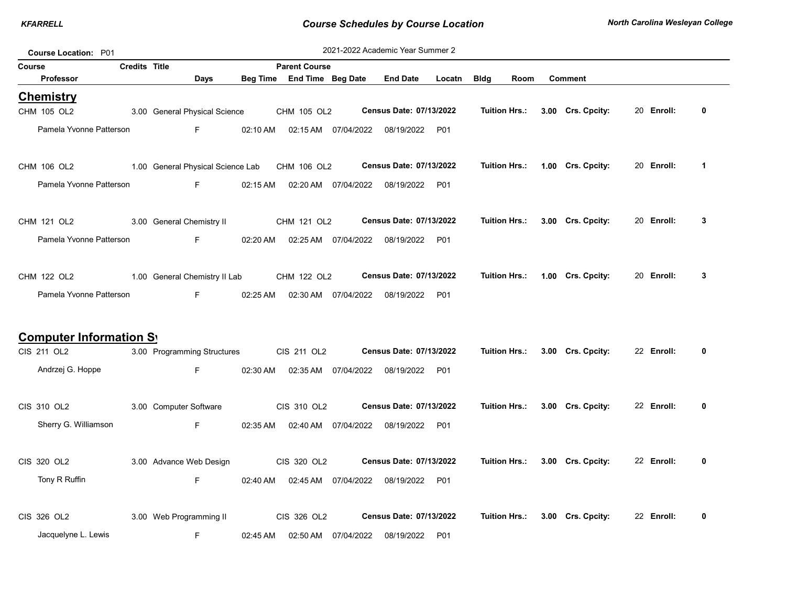| <b>Course Location: P01</b>     |                      |                                               |          |                                  |                      | 2021-2022 Academic Year Summer 2 |            |                      |                   |            |              |
|---------------------------------|----------------------|-----------------------------------------------|----------|----------------------------------|----------------------|----------------------------------|------------|----------------------|-------------------|------------|--------------|
| Course                          | <b>Credits Title</b> |                                               |          | <b>Parent Course</b>             |                      |                                  |            |                      |                   |            |              |
| <b>Professor</b>                |                      | Days                                          |          | Beg Time End Time Beg Date       |                      | <b>End Date</b>                  | Locatn     | <b>Bldg</b><br>Room  | <b>Comment</b>    |            |              |
| <b>Chemistry</b><br>CHM 105 OL2 |                      | 3.00 General Physical Science                 |          | CHM 105 OL2                      |                      | Census Date: 07/13/2022          |            | Tuition Hrs.:        | 3.00 Crs. Cpcity: | 20 Enroll: | 0            |
| Pamela Yvonne Patterson         |                      | $F =$                                         | 02:10 AM |                                  | 02:15 AM  07/04/2022 | 08/19/2022 P01                   |            |                      |                   |            |              |
| CHM 106 OL2                     |                      | 1.00 General Physical Science Lab CHM 106 OL2 |          |                                  |                      | Census Date: 07/13/2022          |            | Tuition Hrs.:        | 1.00 Crs. Cpcity: | 20 Enroll: | $\mathbf{1}$ |
| Pamela Yvonne Patterson         |                      | F                                             | 02:15 AM |                                  | 02:20 AM  07/04/2022 | 08/19/2022 P01                   |            |                      |                   |            |              |
| CHM 121 OL2                     |                      | 3.00 General Chemistry II                     |          | CHM 121 OL2                      |                      | Census Date: 07/13/2022          |            | Tuition Hrs.:        | 3.00 Crs. Cpcity: | 20 Enroll: | 3            |
| Pamela Yvonne Patterson         |                      | F                                             | 02:20 AM |                                  |                      | 08/19/2022 P01                   |            |                      |                   |            |              |
| CHM 122 OL2                     |                      | 1.00 General Chemistry II Lab                 |          | CHM 122 OL2                      |                      | Census Date: 07/13/2022          |            | <b>Tuition Hrs.:</b> | 1.00 Crs. Cpcity: | 20 Enroll: | 3            |
| Pamela Yvonne Patterson         |                      | F                                             | 02:25 AM |                                  | 02:30 AM 07/04/2022  | 08/19/2022 P01                   |            |                      |                   |            |              |
| <b>Computer Information Sy</b>  |                      |                                               |          |                                  |                      |                                  |            |                      |                   |            |              |
| CIS 211 OL2                     |                      | 3.00 Programming Structures                   |          | CIS 211 OL2                      |                      | <b>Census Date: 07/13/2022</b>   |            | Tuition Hrs.:        | 3.00 Crs. Cpcity: | 22 Enroll: | 0            |
| Andrzej G. Hoppe                |                      | F                                             |          | 02:30 AM   02:35 AM   07/04/2022 |                      | 08/19/2022                       | <b>P01</b> |                      |                   |            |              |
| CIS 310 OL2                     |                      | 3.00 Computer Software                        |          | CIS 310 OL2                      |                      | Census Date: 07/13/2022          |            | <b>Tuition Hrs.:</b> | 3.00 Crs. Cpcity: | 22 Enroll: | 0            |
| Sherry G. Williamson            |                      | F                                             |          | 02:35 AM   02:40 AM   07/04/2022 |                      | 08/19/2022                       | <b>P01</b> |                      |                   |            |              |
| CIS 320 OL2                     |                      | 3.00 Advance Web Design                       |          | CIS 320 OL2                      |                      | Census Date: 07/13/2022          |            | Tuition Hrs.:        | 3.00 Crs. Cpcity: | 22 Enroll: | 0            |
| Tony R Ruffin                   |                      | F.                                            | 02:40 AM |                                  | 02:45 AM  07/04/2022 | 08/19/2022 P01                   |            |                      |                   |            |              |
| CIS 326 OL2                     |                      | 3.00 Web Programming II                       |          | CIS 326 OL2                      |                      | Census Date: 07/13/2022          |            | Tuition Hrs.:        | 3.00 Crs. Cpcity: | 22 Enroll: | 0            |
| Jacquelyne L. Lewis             |                      | F.                                            | 02:45 AM |                                  | 02:50 AM  07/04/2022 | 08/19/2022 P01                   |            |                      |                   |            |              |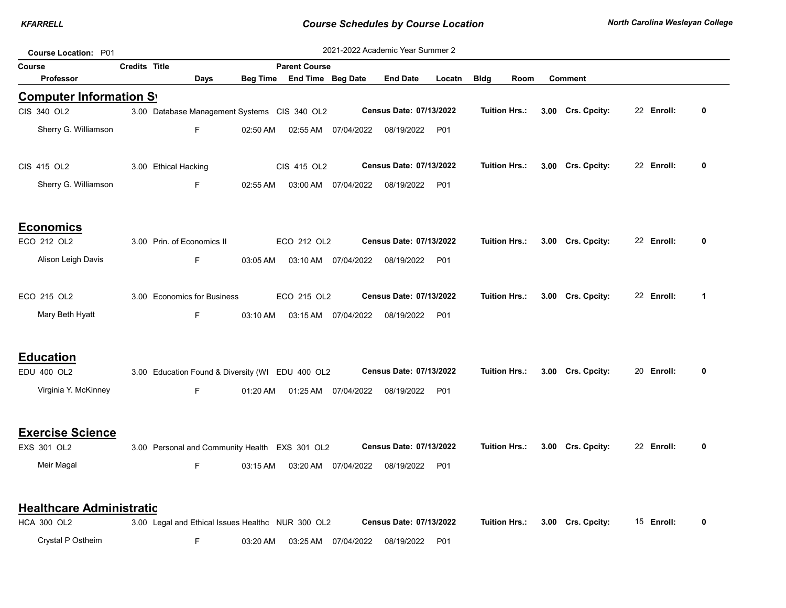| Course Location: P01            |                      |                      |                             |          |                                                   |                     | 2021-2022 Academic Year Summer 2 |                 |             |                      |                   |            |              |
|---------------------------------|----------------------|----------------------|-----------------------------|----------|---------------------------------------------------|---------------------|----------------------------------|-----------------|-------------|----------------------|-------------------|------------|--------------|
| Course                          | <b>Credits Title</b> |                      |                             |          | <b>Parent Course</b>                              |                     |                                  |                 |             |                      |                   |            |              |
| <b>Professor</b>                |                      |                      | Days                        | Beg Time | End Time Beg Date                                 |                     | <b>End Date</b>                  | Locatn          | <b>Bldg</b> | Room                 | <b>Comment</b>    |            |              |
| <b>Computer Information Sy</b>  |                      |                      |                             |          |                                                   |                     |                                  |                 |             |                      |                   |            |              |
| CIS 340 OL2                     |                      |                      |                             |          | 3.00 Database Management Systems CIS 340 OL2      |                     | Census Date: 07/13/2022          |                 |             | <b>Tuition Hrs.:</b> | 3.00 Crs. Cpcity: | 22 Enroll: | 0            |
| Sherry G. Williamson            |                      |                      | F                           | 02:50 AM | 02:55 AM                                          | 07/04/2022          | 08/19/2022                       | P01             |             |                      |                   |            |              |
| CIS 415 OL2                     |                      | 3.00 Ethical Hacking |                             |          | CIS 415 OL2                                       |                     | Census Date: 07/13/2022          |                 |             | <b>Tuition Hrs.:</b> | 3.00 Crs. Cpcity: | 22 Enroll: | 0            |
| Sherry G. Williamson            |                      |                      | F                           | 02:55 AM | 03:00 AM                                          | 07/04/2022          | 08/19/2022                       | P01             |             |                      |                   |            |              |
| <b>Economics</b>                |                      |                      |                             |          |                                                   |                     |                                  |                 |             |                      |                   |            |              |
| ECO 212 OL2                     |                      |                      | 3.00 Prin. of Economics II  |          | ECO 212 OL2                                       |                     | Census Date: 07/13/2022          |                 |             | <b>Tuition Hrs.:</b> | 3.00 Crs. Cpcity: | 22 Enroll: | 0            |
| Alison Leigh Davis              |                      |                      | F                           | 03:05 AM |                                                   | 03:10 AM 07/04/2022 | 08/19/2022                       | P <sub>01</sub> |             |                      |                   |            |              |
| ECO 215 OL2                     |                      |                      | 3.00 Economics for Business |          | ECO 215 OL2                                       |                     | Census Date: 07/13/2022          |                 |             | <b>Tuition Hrs.:</b> | 3.00 Crs. Cpcity: | 22 Enroll: | $\mathbf 1$  |
| Mary Beth Hyatt                 |                      |                      | F                           | 03:10 AM |                                                   | 03:15 AM 07/04/2022 | 08/19/2022                       | P <sub>01</sub> |             |                      |                   |            |              |
| <b>Education</b>                |                      |                      |                             |          |                                                   |                     |                                  |                 |             |                      |                   |            |              |
| EDU 400 OL2                     |                      |                      |                             |          | 3.00 Education Found & Diversity (WI EDU 400 OL2  |                     | Census Date: 07/13/2022          |                 |             | <b>Tuition Hrs.:</b> | 3.00 Crs. Cpcity: | 20 Enroll: | $\mathbf{0}$ |
| Virginia Y. McKinney            |                      |                      | F.                          | 01:20 AM | 01:25 AM                                          | 07/04/2022          | 08/19/2022                       | P01             |             |                      |                   |            |              |
| <b>Exercise Science</b>         |                      |                      |                             |          |                                                   |                     |                                  |                 |             |                      |                   |            |              |
| EXS 301 OL2                     |                      |                      |                             |          | 3.00 Personal and Community Health EXS 301 OL2    |                     | <b>Census Date: 07/13/2022</b>   |                 |             | <b>Tuition Hrs.:</b> | 3.00 Crs. Cpcity: | 22 Enroll: | $\mathbf{0}$ |
| Meir Magal                      |                      |                      | F                           | 03:15 AM | 03:20 AM                                          | 07/04/2022          | 08/19/2022                       | P01             |             |                      |                   |            |              |
| <b>Healthcare Administratio</b> |                      |                      |                             |          |                                                   |                     |                                  |                 |             |                      |                   |            |              |
| <b>HCA 300 OL2</b>              |                      |                      |                             |          | 3.00 Legal and Ethical Issues Healthc NUR 300 OL2 |                     | Census Date: 07/13/2022          |                 |             | <b>Tuition Hrs.:</b> | 3.00 Crs. Cpcity: | 15 Enroll: | 0            |
| Crystal P Ostheim               |                      |                      | F                           | 03:20 AM | 03:25 AM                                          | 07/04/2022          | 08/19/2022                       | P01             |             |                      |                   |            |              |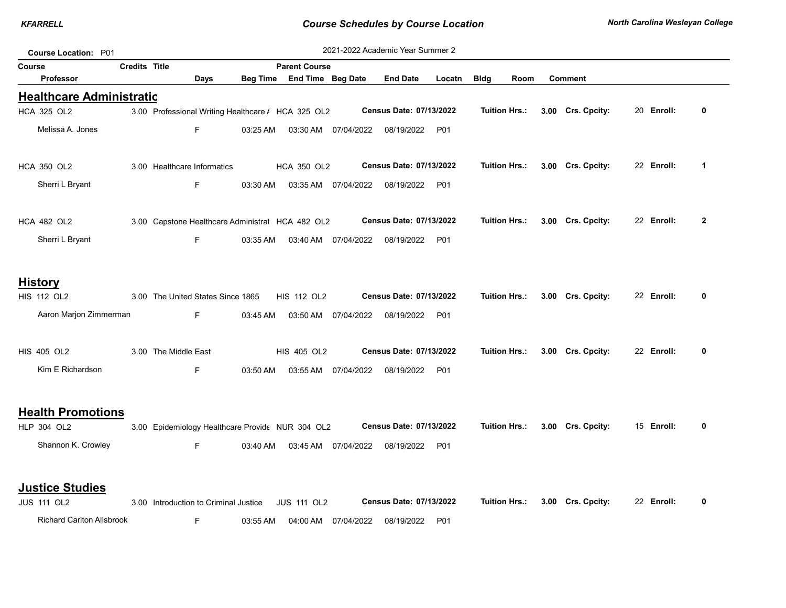| Course Location: P01            |                      |                                                    |          |                            |                     | 2021-2022 Academic Year Summer 2 |        |                      |      |                   |            |                |
|---------------------------------|----------------------|----------------------------------------------------|----------|----------------------------|---------------------|----------------------------------|--------|----------------------|------|-------------------|------------|----------------|
| Course                          | <b>Credits Title</b> |                                                    |          | <b>Parent Course</b>       |                     |                                  |        |                      |      |                   |            |                |
| <b>Professor</b>                |                      | Days                                               |          | Beg Time End Time Beg Date |                     | <b>End Date</b>                  | Locatn | <b>Bldg</b>          | Room | <b>Comment</b>    |            |                |
| <b>Healthcare Administratio</b> |                      |                                                    |          |                            |                     |                                  |        |                      |      |                   |            |                |
| <b>HCA 325 OL2</b>              |                      | 3.00 Professional Writing Healthcare / HCA 325 OL2 |          |                            |                     | Census Date: 07/13/2022          |        | <b>Tuition Hrs.:</b> |      | 3.00 Crs. Cpcity: | 20 Enroll: | 0              |
| Melissa A. Jones                |                      | F.                                                 | 03:25 AM |                            | 03:30 AM 07/04/2022 | 08/19/2022                       | P01    |                      |      |                   |            |                |
| <b>HCA 350 OL2</b>              |                      | 3.00 Healthcare Informatics                        |          | <b>HCA 350 OL2</b>         |                     | Census Date: 07/13/2022          |        | <b>Tuition Hrs.:</b> |      | 3.00 Crs. Cpcity: | 22 Enroll: | 1              |
| Sherri L Bryant                 |                      | F                                                  | 03:30 AM |                            | 03:35 AM 07/04/2022 | 08/19/2022                       | P01    |                      |      |                   |            |                |
| <b>HCA 482 OL2</b>              |                      | 3.00 Capstone Healthcare Administrat HCA 482 OL2   |          |                            |                     | Census Date: 07/13/2022          |        | <b>Tuition Hrs.:</b> |      | 3.00 Crs. Cpcity: | 22 Enroll: | $\overline{2}$ |
| Sherri L Bryant                 |                      | F.                                                 | 03:35 AM |                            | 03:40 AM 07/04/2022 | 08/19/2022                       | P01    |                      |      |                   |            |                |
| <b>History</b>                  |                      |                                                    |          |                            |                     |                                  |        |                      |      |                   |            |                |
| <b>HIS 112 OL2</b>              |                      | 3.00 The United States Since 1865                  |          | <b>HIS 112 OL2</b>         |                     | Census Date: 07/13/2022          |        | <b>Tuition Hrs.:</b> |      | 3.00 Crs. Cpcity: | 22 Enroll: | 0              |
| Aaron Marjon Zimmerman          |                      | F.                                                 | 03:45 AM |                            | 03:50 AM 07/04/2022 | 08/19/2022                       | P01    |                      |      |                   |            |                |
| <b>HIS 405 OL2</b>              |                      | 3.00 The Middle East                               |          | <b>HIS 405 OL2</b>         |                     | <b>Census Date: 07/13/2022</b>   |        | <b>Tuition Hrs.:</b> |      | 3.00 Crs. Cpcity: | 22 Enroll: | 0              |
| Kim E Richardson                |                      | F.                                                 | 03:50 AM |                            | 03:55 AM 07/04/2022 | 08/19/2022                       | P01    |                      |      |                   |            |                |
| <b>Health Promotions</b>        |                      |                                                    |          |                            |                     |                                  |        |                      |      |                   |            |                |
| <b>HLP 304 OL2</b>              |                      | 3.00 Epidemiology Healthcare Provide NUR 304 OL2   |          |                            |                     | Census Date: 07/13/2022          |        | <b>Tuition Hrs.:</b> |      | 3.00 Crs. Cpcity: | 15 Enroll: | 0              |
| Shannon K. Crowley              |                      | F.                                                 | 03:40 AM |                            | 03:45 AM 07/04/2022 | 08/19/2022                       | P01    |                      |      |                   |            |                |
| <b>Justice Studies</b>          |                      |                                                    |          |                            |                     |                                  |        |                      |      |                   |            |                |
| <b>JUS 111 OL2</b>              |                      | 3.00 Introduction to Criminal Justice              |          | <b>JUS 111 OL2</b>         |                     | Census Date: 07/13/2022          |        | <b>Tuition Hrs.:</b> |      | 3.00 Crs. Cpcity: | 22 Enroll: | 0              |

Richard Carlton Allsbrook F 03:55 AM 04:00 AM 07/04/2022 08/19/2022 P01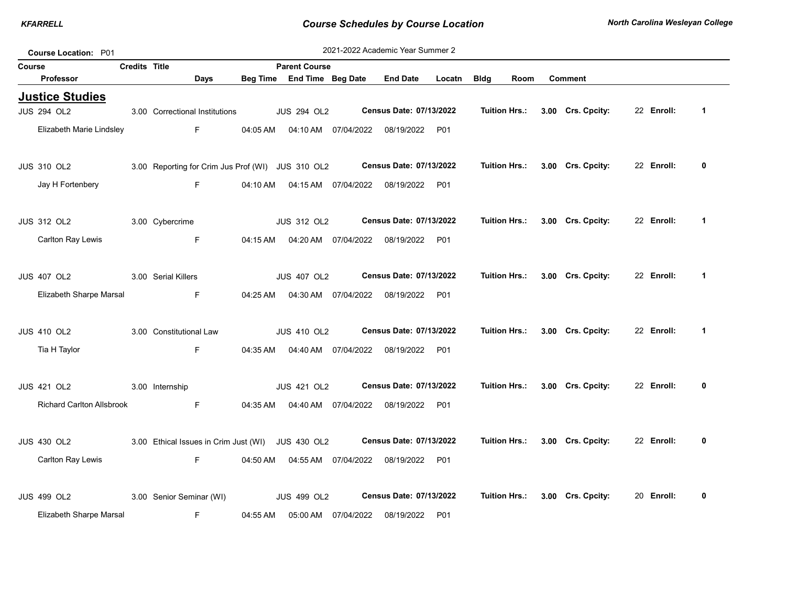| Course Location: P01                         |                      |                                                   |          |                            |                      | 2021-2022 Academic Year Summer 2 |            |                      |                      |                   |            |             |
|----------------------------------------------|----------------------|---------------------------------------------------|----------|----------------------------|----------------------|----------------------------------|------------|----------------------|----------------------|-------------------|------------|-------------|
| Course                                       | <b>Credits Title</b> |                                                   |          | <b>Parent Course</b>       |                      |                                  |            |                      |                      |                   |            |             |
| <b>Professor</b>                             |                      | <b>Days</b>                                       |          | Beg Time End Time Beg Date |                      | <b>End Date</b>                  | Locatn     | <b>Bldg</b>          | Room                 | <b>Comment</b>    |            |             |
| <b>Justice Studies</b><br><b>JUS 294 OL2</b> |                      | 3.00 Correctional Institutions                    |          | <b>JUS 294 OL2</b>         |                      | Census Date: 07/13/2022          |            | <b>Tuition Hrs.:</b> |                      | 3.00 Crs. Cpcity: | 22 Enroll: | $\mathbf 1$ |
| Elizabeth Marie Lindsley                     |                      | F.                                                | 04:05 AM |                            | 04:10 AM 07/04/2022  | 08/19/2022 P01                   |            |                      |                      |                   |            |             |
| <b>JUS 310 OL2</b>                           |                      | 3.00 Reporting for Crim Jus Prof (WI) JUS 310 OL2 |          |                            |                      | Census Date: 07/13/2022          |            | Tuition Hrs.:        |                      | 3.00 Crs. Cpcity: | 22 Enroll: | 0           |
| Jay H Fortenbery                             |                      | F.                                                | 04:10 AM |                            |                      | 08/19/2022                       | P01        |                      |                      |                   |            |             |
| <b>JUS 312 OL2</b>                           |                      | 3.00 Cybercrime                                   |          | <b>JUS 312 OL2</b>         |                      | Census Date: 07/13/2022          |            |                      | <b>Tuition Hrs.:</b> | 3.00 Crs. Cpcity: | 22 Enroll: | $\mathbf 1$ |
| Carlton Ray Lewis                            |                      | F                                                 | 04:15 AM |                            | 04:20 AM 07/04/2022  | 08/19/2022                       | P01        |                      |                      |                   |            |             |
| <b>JUS 407 OL2</b>                           |                      | 3.00 Serial Killers                               |          | <b>JUS 407 OL2</b>         |                      | Census Date: 07/13/2022          |            | <b>Tuition Hrs.:</b> |                      | 3.00 Crs. Cpcity: | 22 Enroll: | $\mathbf 1$ |
| Elizabeth Sharpe Marsal                      |                      | F.                                                | 04:25 AM |                            | 04:30 AM 07/04/2022  | 08/19/2022 P01                   |            |                      |                      |                   |            |             |
| <b>JUS 410 OL2</b>                           |                      | 3.00 Constitutional Law                           |          | <b>JUS 410 OL2</b>         |                      | Census Date: 07/13/2022          |            | <b>Tuition Hrs.:</b> |                      | 3.00 Crs. Cpcity: | 22 Enroll: | 1           |
| Tia H Taylor                                 |                      | F                                                 | 04:35 AM |                            | 04:40 AM  07/04/2022 | 08/19/2022                       | P01        |                      |                      |                   |            |             |
| <b>JUS 421 OL2</b>                           |                      | 3.00 Internship                                   |          | <b>JUS 421 OL2</b>         |                      | Census Date: 07/13/2022          |            |                      | <b>Tuition Hrs.:</b> | 3.00 Crs. Cpcity: | 22 Enroll: | 0           |
| <b>Richard Carlton Allsbrook</b>             |                      | F.                                                | 04:35 AM |                            | 04:40 AM 07/04/2022  | 08/19/2022                       | <b>P01</b> |                      |                      |                   |            |             |
| <b>JUS 430 OL2</b>                           |                      | 3.00 Ethical Issues in Crim Just (WI) JUS 430 OL2 |          |                            |                      | Census Date: 07/13/2022          |            | <b>Tuition Hrs.:</b> |                      | 3.00 Crs. Cpcity: | 22 Enroll: | 0           |
| Carlton Ray Lewis                            |                      | F.                                                | 04:50 AM |                            | 04:55 AM 07/04/2022  | 08/19/2022 P01                   |            |                      |                      |                   |            |             |
| <b>JUS 499 OL2</b>                           |                      | 3.00 Senior Seminar (WI)                          |          | <b>JUS 499 OL2</b>         |                      | Census Date: 07/13/2022          |            | <b>Tuition Hrs.:</b> |                      | 3.00 Crs. Cpcity: | 20 Enroll: | 0           |
| Elizabeth Sharpe Marsal                      |                      | F                                                 | 04:55 AM | 05:00 AM                   | 07/04/2022           | 08/19/2022                       | P01        |                      |                      |                   |            |             |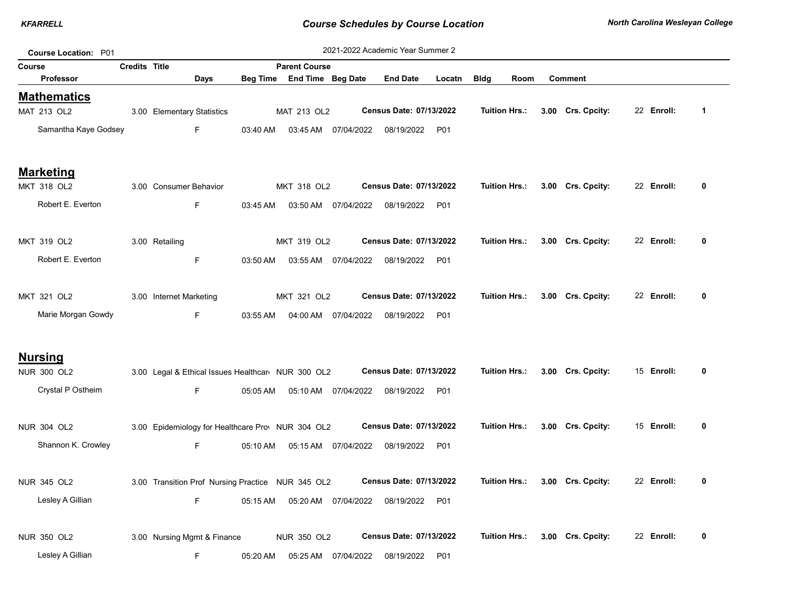| Course Location: P01              |                      |                                                   |          |                            |                      | 2021-2022 Academic Year Summer 2 |            |                      |      |                   |            |              |
|-----------------------------------|----------------------|---------------------------------------------------|----------|----------------------------|----------------------|----------------------------------|------------|----------------------|------|-------------------|------------|--------------|
| <b>Course</b>                     | <b>Credits Title</b> |                                                   |          | <b>Parent Course</b>       |                      |                                  |            |                      |      |                   |            |              |
| <b>Professor</b>                  |                      | Days                                              |          | Beg Time End Time Beg Date |                      | <b>End Date</b>                  | Locatn     | <b>Bldg</b>          | Room | <b>Comment</b>    |            |              |
| <b>Mathematics</b><br>MAT 213 OL2 |                      | 3.00 Elementary Statistics                        |          | MAT 213 OL2                |                      | Census Date: 07/13/2022          |            | <b>Tuition Hrs.:</b> |      | 3.00 Crs. Cpcity: | 22 Enroll: | $\mathbf{1}$ |
| Samantha Kaye Godsey              |                      | F.                                                | 03:40 AM | 03:45 AM                   | 07/04/2022           | 08/19/2022 P01                   |            |                      |      |                   |            |              |
| <u>Marketing</u>                  |                      |                                                   |          |                            |                      |                                  |            |                      |      |                   |            |              |
| MKT 318 OL2                       |                      | 3.00 Consumer Behavior                            |          | MKT 318 OL2                |                      | Census Date: 07/13/2022          |            | <b>Tuition Hrs.:</b> |      | 3.00 Crs. Cpcity: | 22 Enroll: | 0            |
| Robert E. Everton                 |                      | F.                                                | 03:45 AM |                            | 03:50 AM 07/04/2022  | 08/19/2022 P01                   |            |                      |      |                   |            |              |
| MKT 319 OL2                       |                      | 3.00 Retailing                                    |          | MKT 319 OL2                |                      | Census Date: 07/13/2022          |            | <b>Tuition Hrs.:</b> |      | 3.00 Crs. Cpcity: | 22 Enroll: | 0            |
| Robert E. Everton                 |                      | F.                                                | 03:50 AM |                            | 03:55 AM  07/04/2022 | 08/19/2022 P01                   |            |                      |      |                   |            |              |
| MKT 321 OL2                       |                      | 3.00 Internet Marketing                           |          | MKT 321 OL2                |                      | Census Date: 07/13/2022          |            | <b>Tuition Hrs.:</b> |      | 3.00 Crs. Cpcity: | 22 Enroll: | 0            |
| Marie Morgan Gowdy                |                      | F.                                                | 03:55 AM |                            | 04:00 AM 07/04/2022  | 08/19/2022                       | <b>P01</b> |                      |      |                   |            |              |
| <u>Nursing</u>                    |                      |                                                   |          |                            |                      |                                  |            |                      |      |                   |            |              |
| <b>NUR 300 OL2</b>                |                      | 3.00 Legal & Ethical Issues Healthcan NUR 300 OL2 |          |                            |                      | Census Date: 07/13/2022          |            | Tuition Hrs.:        |      | 3.00 Crs. Cpcity: | 15 Enroll: | 0            |
| Crystal P Ostheim                 |                      | F.                                                | 05:05 AM | 05:10 AM                   | 07/04/2022           | 08/19/2022 P01                   |            |                      |      |                   |            |              |
| <b>NUR 304 OL2</b>                |                      | 3.00 Epidemiology for Healthcare Prov NUR 304 OL2 |          |                            |                      | Census Date: 07/13/2022          |            | Tuition Hrs.:        |      | 3.00 Crs. Cpcity: | 15 Enroll: | 0            |
| Shannon K. Crowley                |                      | F.                                                | 05:10 AM |                            | 05:15 AM 07/04/2022  | 08/19/2022                       | P01        |                      |      |                   |            |              |
| <b>NUR 345 OL2</b>                |                      | 3.00 Transition Prof Nursing Practice NUR 345 OL2 |          |                            |                      | Census Date: 07/13/2022          |            | Tuition Hrs.:        |      | 3.00 Crs. Cpcity: | 22 Enroll: | 0            |
| Lesley A Gillian                  |                      | F.                                                | 05:15 AM |                            | 05:20 AM 07/04/2022  | 08/19/2022                       | <b>P01</b> |                      |      |                   |            |              |
| NUR 350 OL2                       |                      | 3.00 Nursing Mgmt & Finance                       |          | <b>NUR 350 OL2</b>         |                      | Census Date: 07/13/2022          |            | Tuition Hrs.:        |      | 3.00 Crs. Cpcity: | 22 Enroll: | 0            |
| Lesley A Gillian                  |                      | F                                                 | 05:20 AM | 05:25 AM                   | 07/04/2022           | 08/19/2022                       | P01        |                      |      |                   |            |              |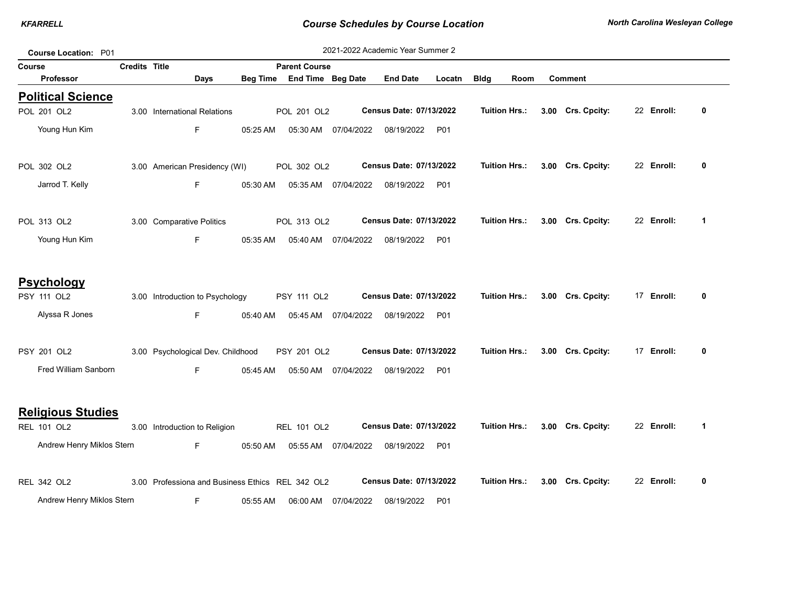|        | <b>Course Location: P01</b>             |                      |                                                  |                 |                      |                     | 2021-2022 Academic Year Summer 2 |            |                      |                   |            |              |
|--------|-----------------------------------------|----------------------|--------------------------------------------------|-----------------|----------------------|---------------------|----------------------------------|------------|----------------------|-------------------|------------|--------------|
| Course |                                         | <b>Credits Title</b> |                                                  |                 | <b>Parent Course</b> |                     |                                  |            |                      |                   |            |              |
|        | <b>Professor</b>                        |                      | Days                                             | <b>Beg Time</b> | End Time Beg Date    |                     | <b>End Date</b>                  | Locatn     | <b>Bldg</b><br>Room  | <b>Comment</b>    |            |              |
|        | <b>Political Science</b><br>POL 201 OL2 |                      | 3.00 International Relations                     |                 | POL 201 OL2          |                     | Census Date: 07/13/2022          |            | <b>Tuition Hrs.:</b> | 3.00 Crs. Cpcity: | 22 Enroll: | 0            |
|        | Young Hun Kim                           |                      | F.                                               | 05:25 AM        |                      | 05:30 AM 07/04/2022 | 08/19/2022                       | P01        |                      |                   |            |              |
|        | POL 302 OL2                             |                      | 3.00 American Presidency (WI)                    |                 | POL 302 OL2          |                     | Census Date: 07/13/2022          |            | <b>Tuition Hrs.:</b> | 3.00 Crs. Cpcity: | 22 Enroll: | 0            |
|        | Jarrod T. Kelly                         |                      | F.                                               | 05:30 AM        |                      | 05:35 AM 07/04/2022 | 08/19/2022                       | P01        |                      |                   |            |              |
|        | POL 313 OL2                             |                      | 3.00 Comparative Politics                        |                 | POL 313 OL2          |                     | Census Date: 07/13/2022          |            | <b>Tuition Hrs.:</b> | 3.00 Crs. Cpcity: | 22 Enroll: | $\mathbf 1$  |
|        | Young Hun Kim                           |                      | F.                                               | 05:35 AM        |                      | 05:40 AM 07/04/2022 | 08/19/2022                       | P01        |                      |                   |            |              |
|        | <b>Psychology</b>                       |                      |                                                  |                 |                      |                     |                                  |            |                      |                   |            |              |
|        | PSY 111 OL2                             |                      | 3.00 Introduction to Psychology                  |                 | PSY 111 OL2          |                     | Census Date: 07/13/2022          |            | <b>Tuition Hrs.:</b> | 3.00 Crs. Cpcity: | 17 Enroll: | 0            |
|        | Alyssa R Jones                          |                      | F.                                               | 05:40 AM        |                      | 05:45 AM 07/04/2022 | 08/19/2022                       | P01        |                      |                   |            |              |
|        | <b>PSY 201 OL2</b>                      |                      | 3.00 Psychological Dev. Childhood                |                 | PSY 201 OL2          |                     | Census Date: 07/13/2022          |            | <b>Tuition Hrs.:</b> | 3.00 Crs. Cpcity: | 17 Enroll: | 0            |
|        | Fred William Sanborn                    |                      | F.                                               | 05:45 AM        | 05:50 AM             | 07/04/2022          | 08/19/2022                       | P01        |                      |                   |            |              |
|        | <b>Religious Studies</b>                |                      |                                                  |                 |                      |                     |                                  |            |                      |                   |            |              |
|        | REL 101 OL2                             |                      | 3.00 Introduction to Religion                    |                 | REL 101 OL2          |                     | Census Date: 07/13/2022          |            | <b>Tuition Hrs.:</b> | 3.00 Crs. Cpcity: | 22 Enroll: | $\mathbf{1}$ |
|        | Andrew Henry Miklos Stern               |                      | F.                                               | 05:50 AM        |                      | 05:55 AM 07/04/2022 | 08/19/2022                       | P01        |                      |                   |            |              |
|        | REL 342 OL2                             |                      | 3.00 Professiona and Business Ethics REL 342 OL2 |                 |                      |                     | Census Date: 07/13/2022          |            | <b>Tuition Hrs.:</b> | 3.00 Crs. Cpcity: | 22 Enroll: | 0            |
|        | Andrew Henry Miklos Stern               |                      | F                                                | 05:55 AM        |                      | 06:00 AM 07/04/2022 | 08/19/2022                       | <b>P01</b> |                      |                   |            |              |